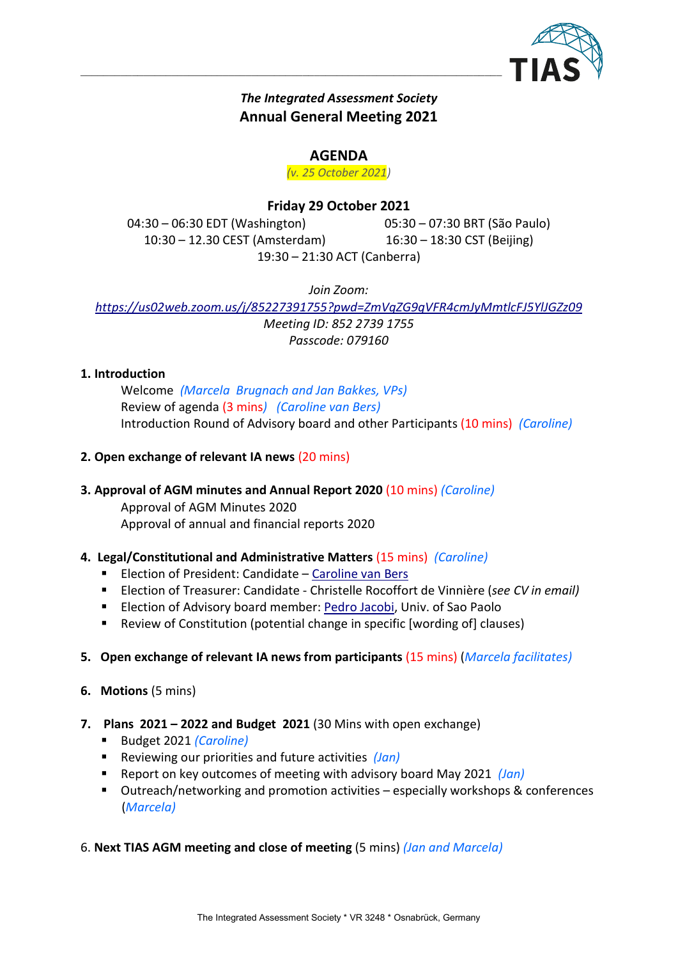

# The Integrated Assessment Society Annual General Meeting 2021

 $\mathcal{L}_\mathcal{L} = \{ \mathcal{L}_\mathcal{L} = \{ \mathcal{L}_\mathcal{L} = \{ \mathcal{L}_\mathcal{L} = \{ \mathcal{L}_\mathcal{L} = \{ \mathcal{L}_\mathcal{L} = \{ \mathcal{L}_\mathcal{L} = \{ \mathcal{L}_\mathcal{L} = \{ \mathcal{L}_\mathcal{L} = \{ \mathcal{L}_\mathcal{L} = \{ \mathcal{L}_\mathcal{L} = \{ \mathcal{L}_\mathcal{L} = \{ \mathcal{L}_\mathcal{L} = \{ \mathcal{L}_\mathcal{L} = \{ \mathcal{L}_\mathcal{$ 

## AGENDA

(v. 25 October 2021)

# Friday 29 October 2021

04:30 – 06:30 EDT (Washington) 05:30 – 07:30 BRT (São Paulo) 10:30 – 12.30 CEST (Amsterdam) 16:30 – 18:30 CST (Beijing) 19:30 – 21:30 ACT (Canberra)

Join Zoom:

https://us02web.zoom.us/j/85227391755?pwd=ZmVqZG9qVFR4cmJyMmtlcFJ5YlJGZz09 Meeting ID: 852 2739 1755 Passcode: 079160

## 1. Introduction

Welcome (Marcela Brugnach and Jan Bakkes, VPs) Review of agenda (3 mins) (Caroline van Bers) Introduction Round of Advisory board and other Participants (10 mins) (Caroline)

## 2. Open exchange of relevant IA news (20 mins)

# 3. Approval of AGM minutes and Annual Report 2020 (10 mins) (Caroline)

Approval of AGM Minutes 2020 Approval of annual and financial reports 2020

## 4. Legal/Constitutional and Administrative Matters (15 mins) (Caroline)

- **Election of President: Candidate Caroline van Bers**
- **Election of Treasurer: Candidate Christelle Rocoffort de Vinnière (see CV in email)**
- **ELECTION OF ADVISORY board member: Pedro Jacobi, Univ. of Sao Paolo**
- Review of Constitution (potential change in specific [wording of] clauses)
- 5. Open exchange of relevant IA news from participants (15 mins) (Marcela facilitates)
- 6. Motions (5 mins)
- 7. Plans 2021 2022 and Budget 2021 (30 Mins with open exchange)
	- Budget 2021 (Caroline)
	- Reviewing our priorities and future activities  $(Jan)$
	- Report on key outcomes of meeting with advisory board May 2021  $(Jan)$
	- Outreach/networking and promotion activities especially workshops & conferences (Marcela)
- 6. Next TIAS AGM meeting and close of meeting (5 mins) (Jan and Marcela)